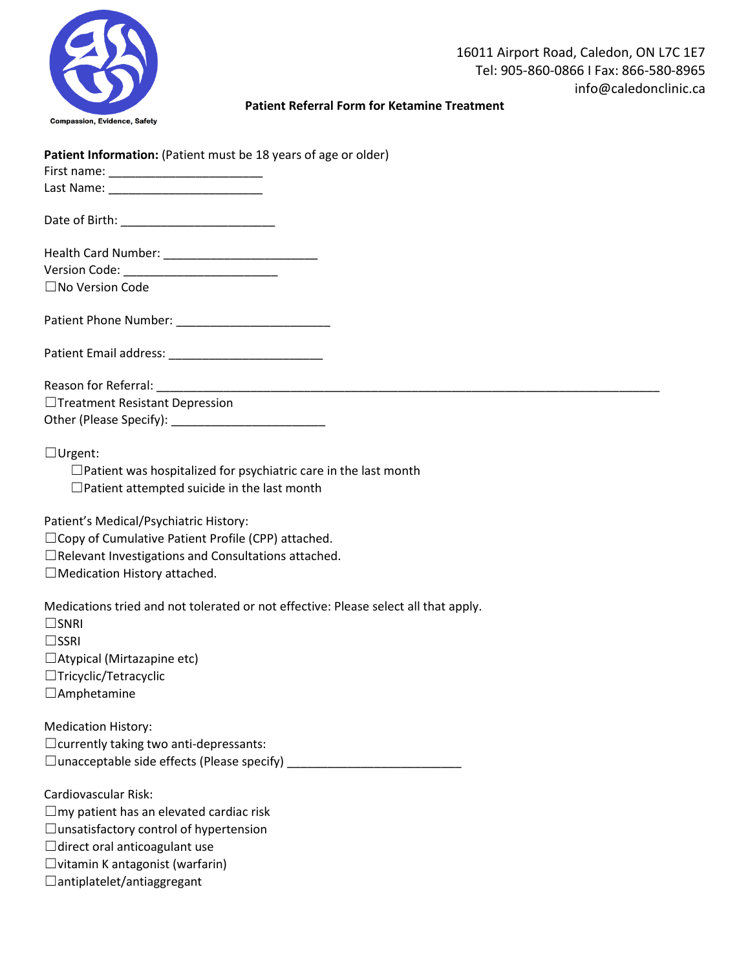

## **Patient Referral Form for Ketamine Treatment**

| Patient Information: (Patient must be 18 years of age or older)                     |  |
|-------------------------------------------------------------------------------------|--|
|                                                                                     |  |
|                                                                                     |  |
|                                                                                     |  |
|                                                                                     |  |
|                                                                                     |  |
|                                                                                     |  |
| $\square$ No Version Code                                                           |  |
|                                                                                     |  |
|                                                                                     |  |
|                                                                                     |  |
|                                                                                     |  |
|                                                                                     |  |
|                                                                                     |  |
| □Treatment Resistant Depression                                                     |  |
|                                                                                     |  |
|                                                                                     |  |
| $\Box$ Urgent:                                                                      |  |
| $\Box$ Patient was hospitalized for psychiatric care in the last month              |  |
| $\Box$ Patient attempted suicide in the last month                                  |  |
|                                                                                     |  |
| Patient's Medical/Psychiatric History:                                              |  |
| $\Box$ Copy of Cumulative Patient Profile (CPP) attached.                           |  |
| $\Box$ Relevant Investigations and Consultations attached.                          |  |
|                                                                                     |  |
| □ Medication History attached.                                                      |  |
| Medications tried and not tolerated or not effective: Please select all that apply. |  |
| $\square$ SNRI                                                                      |  |
|                                                                                     |  |
| $\square$ SSRI                                                                      |  |
| $\Box$ Atypical (Mirtazapine etc)                                                   |  |
| $\Box$ Tricyclic/Tetracyclic                                                        |  |
| $\Box$ Amphetamine                                                                  |  |
|                                                                                     |  |
| <b>Medication History:</b>                                                          |  |
| $\Box$ currently taking two anti-depressants:                                       |  |
| □ unacceptable side effects (Please specify) ___________________________________    |  |
|                                                                                     |  |
| Cardiovascular Risk:                                                                |  |
| $\Box$ my patient has an elevated cardiac risk                                      |  |
| $\Box$ unsatisfactory control of hypertension                                       |  |
| $\Box$ direct oral anticoagulant use                                                |  |
| $\Box$ vitamin K antagonist (warfarin)                                              |  |
| $\Box$ antiplatelet/antiaggregant                                                   |  |
|                                                                                     |  |